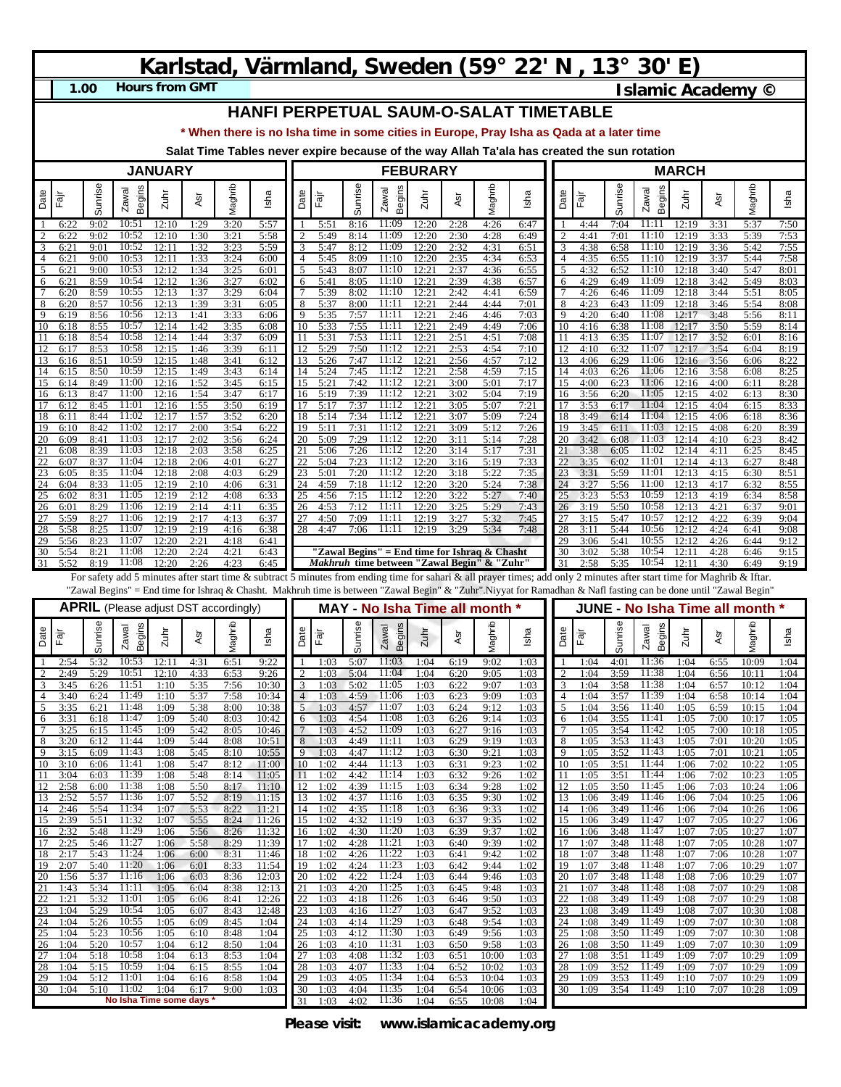## **Karlstad, Värmland, Sweden (59° 22' N , 13° 30' E)**

**1.00**

**Hours from GMT Islamic Academy ©** 

## **HANFI PERPETUAL SAUM-O-SALAT TIMETABLE**

**\* When there is no Isha time in some cities in Europe, Pray Isha as Qada at a later time**

**Salat Time Tables never expire because of the way Allah Ta'ala has created the sun rotation**

| <b>JANUARY</b>      |              |              |                                              |                |              |              |                | <b>FEBURARY</b> |                      |                           |                                                    |                      |                      |                         |                                                                                                                                                                         | <b>MARCH</b>        |              |              |                        |                |              |                               |              |
|---------------------|--------------|--------------|----------------------------------------------|----------------|--------------|--------------|----------------|-----------------|----------------------|---------------------------|----------------------------------------------------|----------------------|----------------------|-------------------------|-------------------------------------------------------------------------------------------------------------------------------------------------------------------------|---------------------|--------------|--------------|------------------------|----------------|--------------|-------------------------------|--------------|
|                     |              |              |                                              |                |              |              |                |                 |                      |                           |                                                    |                      |                      |                         |                                                                                                                                                                         |                     |              |              |                        |                |              |                               |              |
| Date                | ्लि<br>म     | Sunrise      | Begins<br>Zawal                              | Zuhr           | ĀSr          | Maghrib      | Isha           | Date            | Ēā                   | Sunrise                   | <b>Begins</b><br>Zawal                             | Zuhr                 | ĀSr                  | Maghrib                 | Isha                                                                                                                                                                    | Date                | Ēāŗ          | Sunrise      | Begins<br>Zawal        | Zuhr           | Asr          | Maghrib                       | Isha         |
| -1                  | 6:22         | 9:02         | 10:51                                        | 12:10          | 1:29         | 3:20         | 5:57           |                 | 5:51                 | 8:16                      | 11:09                                              | 12:20                | 2:28                 | 4:26                    | 6:47                                                                                                                                                                    |                     | 4:44         | 7:04         | 11:11                  | 12:19          | 3:31         | 5:37                          | 7:50         |
| $\overline{c}$<br>3 | 6:22<br>6:2  | 9:02<br>9:01 | 10:52<br>10:52                               | 12:10<br>12:11 | 1:30<br>1:32 | 3:21<br>3:23 | 5:58<br>5:59   |                 | 5:49<br>5:47         | 8:14<br>8:12              | 11:09<br>11:09                                     | 12:20<br>12:20       | 2:30<br>2:32         | 4:28<br>4:31            | 6:49<br>6:51                                                                                                                                                            | 2<br>3              | 4:41<br>4:38 | 7:01<br>6:58 | 11:10<br>11:10         | 12:19<br>12:19 | 3:33<br>3:36 | 5:39<br>5:42                  | 7:53<br>7:55 |
| $\overline{4}$      | 6:2          | 9:00         | 10:53                                        | 12:11          | 1:33         | 3:24         | 6:00           | 4               | 5:45                 | 8:09                      | 11:10                                              | 12:20                | 2:35                 | 4:34                    | 6:53                                                                                                                                                                    | $\overline{4}$      | 4:35         | 6:55         | 11:10                  | 12:19          | 3:37         | 5:44                          | 7:58         |
| 5<br>6              | 6:2<br>6:2   | 9:00<br>8:59 | 10:53<br>10:54                               | 12:12<br>12:12 | 1:34<br>1:36 | 3:25<br>3:27 | 6:01<br>6:02   | 6               | 5:43<br>5:41         | 8:07<br>8:05              | 11:10<br>11:10                                     | 12:2<br>12:21        | 2:37<br>2:39         | 4:36<br>4:38            | 6:55<br>6:57                                                                                                                                                            | 5<br>6              | 4:32<br>4:29 | 6:52<br>6:49 | 11:10<br>11:09         | 12:18<br>12:18 | 3:40<br>3:42 | 5:47<br>5:49                  | 8:01<br>8:03 |
| $7\phantom{.0}$     | 6:20         | 8:59         | 10:55                                        | 12:13          | 1:37         | 3:29         | 6:04           |                 | 5:39                 | 8:02                      | 11:10                                              | 12:21                | 2:42                 | 4:41                    | 6:59                                                                                                                                                                    | 7                   | 4:26         | 6:46         | 11:09                  | 12:18          | 3:44         | 5:51                          | 8:05         |
| 8<br>$\overline{9}$ | 6:20<br>6:19 | 8:57<br>8:56 | 10:56<br>10:56                               | 12:13<br>12:13 | 1:39<br>1:41 | 3:31<br>3:33 | 6:05<br>6:06   | 8<br>9          | 5:37<br>5:35         | 8:00<br>7:57              | 11:11<br>11:11                                     | 12:21<br>12:21       | 2:44<br>2:46         | 4:44<br>4:46            | 7:01<br>7:03                                                                                                                                                            | 8<br>9              | 4:23<br>4:20 | 6:43<br>6:40 | 11:09<br>11:08         | 12:18<br>12:17 | 3:46<br>3:48 | 5:54<br>5:56                  | 8:08<br>8:11 |
| 10                  | 6:18         | 8:55         | 10:57                                        | 12:14          | 1:42         | 3:35         | 6:08           | 10              | 5:33                 | 7:55                      | 11:11                                              | 12:2                 | 2:49                 | 4:49                    | 7:06                                                                                                                                                                    | 10                  | 4:16         | 6:38         | 11:08                  | 12:17          | 3:50         | 5:59                          | 8:14         |
| 11<br>12            | 6:18<br>6:17 | 8:54<br>8:53 | 10:58<br>10:58                               | 12:14<br>12:15 | 1:44<br>1:46 | 3:37<br>3:39 | 6:09<br>6:11   | 11<br>12        | 5:31<br>5:29         | 7:53<br>7:50              | 11:11<br>11:12                                     | 12:21<br>12:2        | 2:51<br>2:53         | 4:51<br>4:54            | 7:08<br>7:10                                                                                                                                                            | 11<br>12            | 4:13<br>4:10 | 6:35<br>6:32 | 11:07<br>11:07         | 12:17<br>12:17 | 3:52<br>3:54 | 6:01<br>6:04                  | 8:16<br>8:19 |
| 13                  | 6:16         | 8:51         | 10:59                                        | 12:15          | 1:48         | 3:41         | 6:12           | 13              | 5:26                 | 7:47                      | 11:12                                              | 12:2                 | 2:56                 | 4:57                    | 7:12                                                                                                                                                                    | 13                  | 4:06         | 6:29         | 11:06                  | 12:16          | 3:56         | 6:06                          | 8:22         |
| 14<br>15            | 6:15         | 8:50<br>8:49 | 10:59<br>11:00                               | 12:15<br>12:16 | 1:49<br>1:52 | 3:43<br>3:45 | 6:14<br>6:15   | 14<br>15        | 5:24<br>5:21         | 7:45<br>7:42              | 11:12<br>11:12                                     | 12:21<br>12:21       | 2:58<br>3:00         | 4:59<br>5:01            | 7:15<br>7:17                                                                                                                                                            | 14<br>15            | 4:03<br>4:00 | 6:26<br>6:23 | 11:06<br>11:06         | 12:16<br>12:16 | 3:58<br>4:00 | 6:08                          | 8:25<br>8:28 |
| 16                  | 6:14<br>6:13 | 8:47         | 11:00                                        | 12:16          | 1:54         | 3:47         | 6:17           | 16              | 5:19                 | 7:39                      | 11:12                                              | 12:21                | 3:02                 | 5:04                    | 7:19                                                                                                                                                                    | 16                  | 3:56         | 6:20         | 11:05                  | 12:15          | 4:02         | 6:11<br>6:13                  | 8:30         |
| 17                  | 6:12         | 8:45         | 11:01                                        | 12:16          | 1:55         | 3:50         | 6:19           | 17              | 5:17                 | 7:37                      | 11:12                                              | 12:21                | 3:05                 | 5:07                    | 7:21                                                                                                                                                                    | 17                  | 3:53         | 6:17         | 11:04                  | 12:15          | 4:04         | 6:15                          | 8:33         |
| 18<br>19            | 6:11<br>6:10 | 8:44<br>8:42 | 11:02<br>11:02                               | 12:17<br>12:17 | 1:57<br>2:00 | 3:52<br>3:54 | 6:20<br>6:22   | 18<br>19        | 5:14<br>5:11         | 7:34<br>7:31              | 11:12<br>11:12                                     | 12:21<br>12:21       | 3:07<br>3:09         | 5:09<br>5:12            | 7:24<br>7:26                                                                                                                                                            | 18<br>19            | 3:49<br>3:45 | 6:14<br>6:11 | 11:04<br>11:03         | 12:15<br>12:15 | 4:06<br>4:08 | 6:18<br>6:20                  | 8:36<br>8:39 |
| 20                  | 6:09         | 8:41         | 11:03                                        | 12:17          | 2:02         | 3:56         | 6:24           | 20              | 5:09                 | 7:29                      | 11:12                                              | 12:20                | 3:11                 | 5:14                    | 7:28                                                                                                                                                                    | 20                  | 3:42         | 6:08         | 11:03                  | 12:14          | 4:10         | 6:23                          | 8:42         |
| 21<br>22            | 6:08<br>6:07 | 8:39<br>8:37 | 11:03<br>11:04                               | 12:18<br>12:18 | 2:03<br>2:06 | 3:58<br>4:01 | 6:25<br>6:27   | 22              | 5:06<br>5:04         | 7:26<br>$\overline{7:}23$ | 11:12<br>11:12                                     | 12:20<br>12:20       | 3:14<br>3:16         | 5:17<br>5:19            | 7:31<br>7:33                                                                                                                                                            | 21<br>22            | 3:38<br>3:35 | 6:05<br>6:02 | 11:02<br>11:01         | 12:14<br>12:14 | 4:11<br>4:13 | 6:25<br>6:27                  | 8:45<br>8:48 |
| 23                  | 6:05         | 8:35         | 11:04                                        | 12:18          | 2:08         | 4:03         | 6:29           | 23              | 5:01                 | 7:20                      | 11:12                                              | 12:20                | 3:18                 | 5:22                    | 7:35                                                                                                                                                                    | 23                  | 3:31         | 5:59         | 11:01                  | 12:13          | 4:15         | 6:30                          | 8:51         |
| 24<br>25            | 6:04<br>6:02 | 8:33<br>8:31 | 11:05<br>11:05                               | 12:19<br>12:19 | 2:10<br>2:12 | 4:06<br>4:08 | 6:31<br>6:33   | 25              | 4:59<br>4:56         | 7:18<br>7:15              | 11:12<br>11:12                                     | 12:20<br>12:20       | 3:20<br>3:22         | 5:24<br>5:27            | 7:38<br>7:40                                                                                                                                                            | 24<br>25            | 3:27<br>3:23 | 5:56<br>5:53 | 11:00<br>10:59         | 12:13<br>12:13 | 4:17<br>4:19 | 6:32<br>6:34                  | 8:55<br>8:58 |
| 26                  | 6:01         | 8:29         | 11:06                                        | 12:19          | 2:14         | 4:11         | 6:35           | 26              | 4:53                 | 7:12                      | 11:11                                              | 12:20                | 3:25                 | 5:29                    | 7:43                                                                                                                                                                    | 26                  | 3:19         | 5:50         | 10:58                  | 12:13          | 4:21         | 6:37                          | 9:01         |
| 27<br>28            | 5:59<br>5:58 | 8:27<br>8:25 | 11:06<br>11:07                               | 12:19<br>12:19 | 2:17<br>2:19 | 4:13<br>4:16 | 6:37<br>6:38   | 27<br>28        | 4:50<br>4:47         | 7:09<br>7:06              | 11:11<br>11:11                                     | 12:19<br>12:19       | 3:27<br>3:29         | 5:32<br>5:34            | 7:45<br>7:48                                                                                                                                                            | 27<br>28            | 3:15<br>3:11 | 5:47<br>5:44 | 10:57<br>10:56         | 12:12<br>12:12 | 4:22<br>4:24 | 6:39<br>6:41                  | 9:04<br>9:08 |
| 29                  | 5:56         | 8:23         | 11:07                                        | 12:20          | 2:21         | 4:18         | 6:41           |                 |                      |                           |                                                    |                      |                      |                         |                                                                                                                                                                         | 29                  | 3:06         | 5:41         | 10:55                  | 12:12          | 4:26         | 6:44                          | 9:12         |
| 30                  | 5:54         | 8:21         | 11:08                                        | 12:20          | 2:24         | 4:21         | 6:43           |                 |                      |                           | "Zawal Begins" = End time for Ishraq & Chasht      |                      |                      |                         |                                                                                                                                                                         | 30                  | 3:02         | 5:38         | 10:54                  | 12:11          | 4:28         | 6:46                          | 9:15         |
| 31                  | 5:52         | 8:19         | 11:08                                        | 12:20          | 2:26         | 4:23         | 6:45           |                 |                      |                           | <i>Makhruh</i> time between "Zawal Begin" & "Zuhr' |                      |                      |                         | For safety add 5 minutes after start time & subtract 5 minutes from ending time for sahari & all prayer times; add only 2 minutes after start time for Maghrib & Iftar. | 31                  | 2:58         | 5:35         | 10:54                  | 12:11          | 4:30         | 6:49                          | 9:19         |
|                     |              |              |                                              |                |              |              |                |                 |                      |                           |                                                    |                      |                      |                         | "Zawal Begins" = End time for Ishraq & Chasht. Makhruh time is between "Zawal Begin" & "Zuhr".Niyyat for Ramadhan & Nafl fasting can be done until "Zawal Begin"        |                     |              |              |                        |                |              |                               |              |
|                     |              |              | <b>APRIL</b> (Please adjust DST accordingly) |                |              |              |                |                 |                      |                           | <b>MAY - No Isha Time all month</b>                |                      |                      |                         |                                                                                                                                                                         |                     |              |              |                        |                |              | JUNE - No Isha Time all month |              |
|                     |              |              |                                              |                |              |              |                |                 |                      |                           |                                                    |                      |                      |                         |                                                                                                                                                                         |                     |              |              |                        |                |              |                               |              |
| Date                | .<br>लि      | Sunrise      | Begins<br>Zawal                              | $Z$ uhr        | ĀSr          | Maghrib      | Isha           | Date            | ।<br>मैं<br>म        | Sunrise                   | Begins<br>Zawal                                    | Zuhr                 | Asr                  | Maghrib                 | Isha                                                                                                                                                                    | Date                | Fār          | Sunrise      | <b>Begins</b><br>Zawal | Zuhr           | Asr          | Maghrib                       | Isha         |
|                     | 2:54         | 5:32         | 10:53                                        | 12:11          | 4:31         | 6:51         | 9:22           |                 | 1:03                 | 5:07                      | 11:03                                              | 1:04                 | 6:19                 | 9:02                    | 1:03                                                                                                                                                                    |                     | 1:04         | 4:01         | 11:36                  | 1:04           | 6:55         | 10:09                         | 1:04         |
| 3                   | 2:49<br>3:45 | 5:29<br>6:26 | 10:51<br>11:51                               | 12:10          | 4:33         | 6:53         | 9:26<br>10:30  | 3               | 1:03<br>1:03         | 5:04<br>5:02              | 11:04<br>11:05                                     | 1:04<br>1:03         | 6:20<br>6:22         | 9:05<br>9:07            | 1:03<br>1:03                                                                                                                                                            | $\overline{2}$      | 1:04<br>1:04 | 3:59         | 11:38<br>11:38         | 1:04           | 6:56<br>6:57 | 10:11<br>10:12                | 1:04<br>1:04 |
| $\overline{4}$      | 3:40         | 6:24         | 11:49                                        | 1:10<br>1:10   | 5:35<br>5:37 | 7:56<br>7:58 | 10:34          | $\overline{4}$  | 1:03                 | 4:59                      | 11:06                                              | 1:03                 | 6:23                 | 9:09                    | 1:03                                                                                                                                                                    | 3<br>$\overline{4}$ | 1:04         | 3:58<br>3:57 | 11:39                  | 1:04<br>1:04   | 6:58         | 10:14                         | 1:04         |
| 5                   | 3:35         | 6:21         | 11:48                                        | 1:09           | 5:38         | 8:00         | 10:38          | 5               | 1:03                 | 4:57                      | 11:07                                              | 1:03                 | 6:24                 | 9:12                    | 1:03                                                                                                                                                                    | 5                   | 1:04         | 3:56         | 11:40                  | 1:05           | 6:59         | 10:15                         | 1:04         |
| 6<br>7              | 3:31<br>3:25 | 6:18<br>6:15 | 11:47<br>11:45                               | 1:09<br>1:09   | 5:40<br>5:42 | 8:03<br>8:05 | 10:42<br>10:46 | 6               | 1:03<br>1:03         | 4:54<br>4:52              | 11:08<br>11:09                                     | 1:03<br>1:03         | 6:26<br>6:27         | 9:14<br>9:16            | 1:03<br>1:03                                                                                                                                                            | 6<br>7              | 1:04<br>1:05 | 3:55<br>3:54 | 11:41<br>11:42         | 1:05<br>1:05   | 7:00<br>7:00 | 10:17<br>10:18                | 1:05<br>1:05 |
| 8                   | 3:20         | 6:12         | 11:44                                        | 1:09           | 5:44         | 8:08         | 10:51          | 8               | 1:03                 | 4:49                      | 11:11                                              | 1:03                 | 6:29                 | 9:19                    | 1:03                                                                                                                                                                    | 8                   | 1:05         | 3:53         | 11:43                  | 1:05           | 7:01         | 10:20                         | 1:05         |
| 9<br>10             | 3:15<br>3:10 | 6:09<br>6:06 | 11:43<br>11:41                               | 1:08<br>1:08   | 5:45<br>5:47 | 8:10<br>8:12 | 10:55<br>11:00 | 9<br>10         | 1:03<br>1:02         | 4:47<br>4:44              | 11:12<br>11:13                                     | 1:03<br>1:03         | 6:30<br>6:31         | 9:21<br>9:23            | 1:03<br>1:02                                                                                                                                                            | 9<br>10             | 1:05<br>1:05 | 3:52<br>3:51 | 11:43<br>11:44         | 1:05<br>1:06   | 7:01<br>7:02 | 10:21<br>10:22                | 1:05<br>1:05 |
| 11                  | 3:04         | 6:03         | 11:39                                        | 1:08           | 5:48         | 8:14         | 11:05          | 11              | 1:02                 | 4:42                      | 11:14                                              | 1:03                 | 6:32                 | 9:26                    | 1:02                                                                                                                                                                    | 11                  | 1:05         | 3:51         | 11:44                  | 1:06           | 7:02         | 10:23                         | 1:05         |
| 12<br>13            | 2:58<br>2:52 | 6:00<br>5:57 | 11:38<br>11:36                               | 1:08<br>1:07   | 5:50<br>5:52 | 8:17<br>8:19 | 11:10<br>11:15 | 12<br>13        | 1:02<br>1:02         | 4:39<br>4:37              | 11:15<br>11:16                                     | 1:03<br>1:03         | 6:34<br>6:35         | 9:28<br>9:30            | 1:02<br>1:02                                                                                                                                                            | 12<br>13            | 1:05<br>1:06 | 3:50<br>3:49 | 11:45<br>11:46         | 1:06<br>1:06   | 7:03<br>7:04 | 10:24<br>10:25                | 1:06<br>1:06 |
| 14                  | 2:46         | 5:54         | 11:34                                        | 1:07           | 5:53         | 8:22         | 11:21          | 14              | 1:02                 | 4:35                      | 11:18                                              | 1:03                 | 6:36                 | 9:33                    | 1:02                                                                                                                                                                    | 14                  | 1:06         | 3:49         | 11:46                  | 1:06           | 7:04         | 10:26                         | 1:06         |
| 15<br>16            | 2:39<br>2:32 | 5:51<br>5:48 | 11:32<br>11:29                               | 1:07<br>1:06   | 5:55<br>5:56 | 8:24<br>8:26 | 11:26<br>11:32 | 15<br>16        | 1:02<br>1:02         | 4:32<br>4:30              | 11:19<br>11:20                                     | 1:03<br>1:03         | 6:37<br>6:39         | 9:35<br>9:37            | 1:02<br>1:02                                                                                                                                                            | 15<br>16            | 1:06<br>1:06 | 3:49<br>3:48 | 11:47<br>11:47         | 1:07<br>1:07   | 7:05<br>7:05 | 10:27<br>10:27                | 1:06<br>1:07 |
| 17                  | 2:25         | 5:46         | 11:27                                        | 1:06           | 5:58         | 8:29         | 11:39          | 17              | 1:02                 | 4:28                      | 11:21                                              | 1:03                 | 6:40                 | 9:39                    | 1:02                                                                                                                                                                    | 17                  | 1:07         | 3:48         | 11:48                  | 1:07           | 7:05         | 10:28                         | 1:07         |
| 18<br>19            | 2:17<br>2:07 | 5:43<br>5:40 | 11:24<br>11:20                               | 1:06<br>1:06   | 6:00<br>6:01 | 8:31<br>8:33 | 11:46<br>11:54 | 18<br>19        | 1:02<br>1:02         | 4:26<br>4:24              | 11:22<br>11:23                                     | 1:03<br>1:03         | 6:41<br>6:42         | 9:42<br>9:44            | 1:02<br>1:02                                                                                                                                                            | 18<br>19            | 1:07<br>1:07 | 3:48<br>3:48 | 11:48<br>11:48         | 1:07<br>1:07   | 7:06<br>7:06 | 10:28<br>10:29                | 1:07<br>1:07 |
| 20                  | 1:56         | 5:37         | 11:16                                        | 1:06           | 6:03         | 8:36         | 12:03          | 20              | 1:02                 | 4:22                      | 11:24                                              | 1:03                 | 6:44                 | 9:46                    | 1:03                                                                                                                                                                    | 20                  | 1:07         | 3:48         | 11:48                  | 1:08           | 7:06         | 10:29                         | 1:07         |
| 21<br>22            | 1:43         | 5:34<br>5:32 | 11:11<br>11:01                               | 1:05           | 6:04         | 8:38         | 12:13<br>12:26 | 21<br>22        | 1:03                 | 4:20                      | 11:25<br>11:26                                     | 1:03                 | 6:45                 | 9:48                    | 1:03<br>1:03                                                                                                                                                            | 21<br>22            | 1:07         | 3:48<br>3:49 | 11:48<br>11:49         | 1:08           | 7:07<br>7:07 | 10:29                         | 1:08<br>1:08 |
| 23                  | 1:21<br>1:04 | 5:29         | 10:54                                        | 1:05<br>1:05   | 6:06<br>6:07 | 8:41<br>8:43 | 12:48          | 23              | 1:03<br>1:03         | 4:18<br>4:16              | 11:27                                              | 1:03<br>1:03         | 6:46<br>6:47         | 9:50<br>9:52            | 1:03                                                                                                                                                                    | 23                  | 1:08<br>1:08 | 3:49         | 11:49                  | 1:08<br>1:08   | 7:07         | 10:29<br>10:30                | 1:08         |
| 24                  | 1:04         | 5:26         | 10:55                                        | 1:05           | 6:09         | 8:45         | 1:04           | 24              | 1:03                 | 4:14                      | 11:29                                              | 1:03                 | 6:48                 | 9:54                    | 1:03                                                                                                                                                                    | 24                  | 1:08         | 3:49         | 11:49                  | 1:09           | 7:07         | 10:30                         | 1:08         |
| 25<br>26            | 1:04<br>1:04 | 5:23<br>5:20 | 10:56<br>10:57                               | 1:05<br>1:04   | 6:10<br>6:12 | 8:48<br>8:50 | 1:04<br>1:04   | 25<br>26        | 1:03<br>1:03         | 4:12<br>4:10              | 11:30<br>11:31                                     | 1:03<br>1:03         | 6:49<br>6:50         | 9:56<br>9:58            | 1:03<br>1:03                                                                                                                                                            | 25<br>26            | 1:08<br>1:08 | 3:50<br>3:50 | 11:49<br>11:49         | 1:09<br>1:09   | 7:07<br>7:07 | 10:30<br>10:30                | 1:08<br>1:09 |
| 27                  | 1:04         | 5:18         | 10:58                                        | 1:04           | 6:13         | 8:53         | 1:04           | 27              | 1:03                 | 4:08                      | 11:32                                              | 1:03                 | 6:51                 | 10:00                   | 1:03                                                                                                                                                                    | 27                  | 1:08         | 3:51         | 11:49                  | 1:09           | 7:07         | 10:29                         | 1:09         |
| 28                  | 1:04         | 5:15         | 10:59                                        | 1:04           | 6:15         |              |                |                 | 1:03                 |                           | 11:33                                              |                      |                      |                         | 1:03                                                                                                                                                                    | 28                  | 1:09         | 3:52         | 11:49                  |                |              |                               | 1:09         |
|                     |              |              | 11:01                                        |                |              | 8:55         | 1:04           | 28<br>29        |                      | 4:07                      | 11:34                                              | 1:04                 | 6:52                 | 10:02                   |                                                                                                                                                                         |                     |              |              | 11:49                  | 1:09           | 7:07         | 10:29                         |              |
| 29<br>30            | 1:04<br>1:04 | 5:12<br>5:10 | 11:02<br>No Isha Time some days              | 1:04<br>1:04   | 6:16<br>6:17 | 8:58<br>9:00 | 1:04<br>1:03   | 30<br>31        | 1:03<br>1:03<br>1:03 | 4:05<br>4:04<br>4:02      | 11:35<br>11:36                                     | 1:04<br>1:04<br>1:04 | 6:53<br>6:54<br>6:55 | 10:04<br>10:06<br>10:08 | 1:03<br>1:03<br>1:04                                                                                                                                                    | 29<br>30            | 1:09<br>1:09 | 3:53<br>3:54 | 11:49                  | 1:10<br>1:10   | 7:07<br>7:07 | 10:29<br>10:28                | 1:09<br>1:09 |

**Please visit: www.islamicacademy.org**